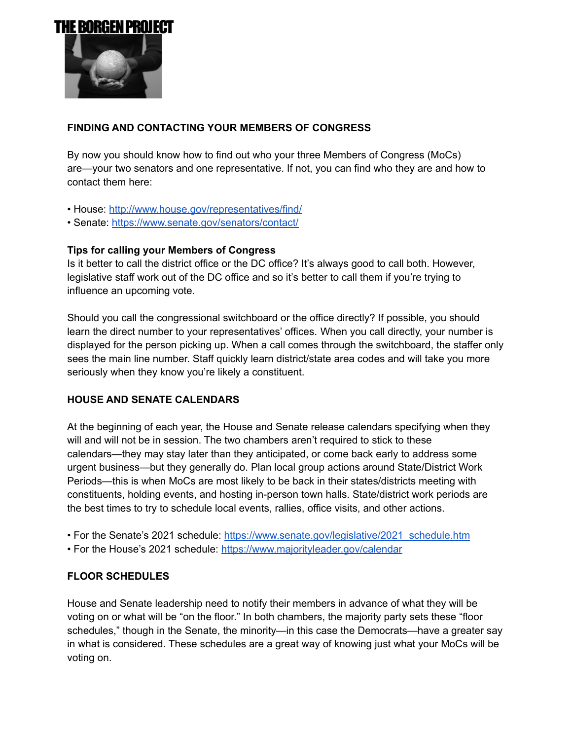

## **FINDING AND CONTACTING YOUR MEMBERS OF CONGRESS**

By now you should know how to find out who your three Members of Congress (MoCs) are—your two senators and one representative. If not, you can find who they are and how to contact them here:

- House: <http://www.house.gov/representatives/find/>
- Senate: <https://www.senate.gov/senators/contact/>

### **Tips for calling your Members of Congress**

Is it better to call the district office or the DC office? It's always good to call both. However, legislative staff work out of the DC office and so it's better to call them if you're trying to influence an upcoming vote.

Should you call the congressional switchboard or the office directly? If possible, you should learn the direct number to your representatives' offices. When you call directly, your number is displayed for the person picking up. When a call comes through the switchboard, the staffer only sees the main line number. Staff quickly learn district/state area codes and will take you more seriously when they know you're likely a constituent.

## **HOUSE AND SENATE CALENDARS**

At the beginning of each year, the House and Senate release calendars specifying when they will and will not be in session. The two chambers aren't required to stick to these calendars—they may stay later than they anticipated, or come back early to address some urgent business—but they generally do. Plan local group actions around State/District Work Periods—this is when MoCs are most likely to be back in their states/districts meeting with constituents, holding events, and hosting in-person town halls. State/district work periods are the best times to try to schedule local events, rallies, office visits, and other actions.

- For the Senate's 2021 schedule: [https://www.senate.gov/legislative/2021\\_schedule.htm](https://www.senate.gov/legislative/2021_schedule.htm)
- For the House's 2021 schedule: <https://www.majorityleader.gov/calendar>

## **FLOOR SCHEDULES**

House and Senate leadership need to notify their members in advance of what they will be voting on or what will be "on the floor." In both chambers, the majority party sets these "floor schedules," though in the Senate, the minority—in this case the Democrats—have a greater say in what is considered. These schedules are a great way of knowing just what your MoCs will be voting on.